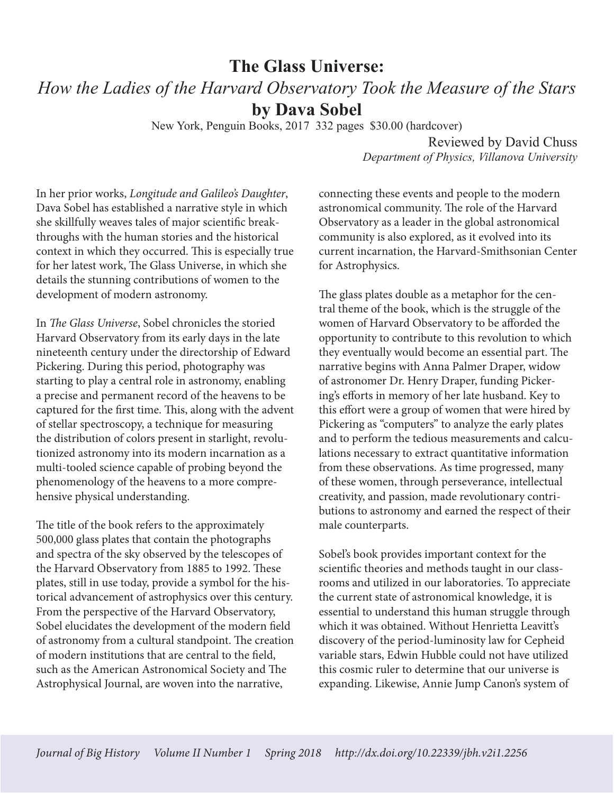## **The Glass Universe:** *How the Ladies of the Harvard Observatory Took the Measure of the Stars* **by Dava Sobel**

New York, Penguin Books, 2017 332 pages \$30.00 (hardcover)

Reviewed by David Chuss *Department of Physics, Villanova University*

In her prior works, *Longitude and Galileo's Daughter*, Dava Sobel has established a narrative style in which she skillfully weaves tales of major scientific breakthroughs with the human stories and the historical context in which they occurred. This is especially true for her latest work, The Glass Universe, in which she details the stunning contributions of women to the development of modern astronomy.

In *The Glass Universe*, Sobel chronicles the storied Harvard Observatory from its early days in the late nineteenth century under the directorship of Edward Pickering. During this period, photography was starting to play a central role in astronomy, enabling a precise and permanent record of the heavens to be captured for the first time. This, along with the advent of stellar spectroscopy, a technique for measuring the distribution of colors present in starlight, revolutionized astronomy into its modern incarnation as a multi-tooled science capable of probing beyond the phenomenology of the heavens to a more comprehensive physical understanding.

The title of the book refers to the approximately 500,000 glass plates that contain the photographs and spectra of the sky observed by the telescopes of the Harvard Observatory from 1885 to 1992. These plates, still in use today, provide a symbol for the historical advancement of astrophysics over this century. From the perspective of the Harvard Observatory, Sobel elucidates the development of the modern field of astronomy from a cultural standpoint. The creation of modern institutions that are central to the field, such as the American Astronomical Society and The Astrophysical Journal, are woven into the narrative,

connecting these events and people to the modern astronomical community. The role of the Harvard Observatory as a leader in the global astronomical community is also explored, as it evolved into its current incarnation, the Harvard-Smithsonian Center for Astrophysics.

The glass plates double as a metaphor for the central theme of the book, which is the struggle of the women of Harvard Observatory to be afforded the opportunity to contribute to this revolution to which they eventually would become an essential part. The narrative begins with Anna Palmer Draper, widow of astronomer Dr. Henry Draper, funding Pickering's efforts in memory of her late husband. Key to this effort were a group of women that were hired by Pickering as "computers" to analyze the early plates and to perform the tedious measurements and calculations necessary to extract quantitative information from these observations. As time progressed, many of these women, through perseverance, intellectual creativity, and passion, made revolutionary contributions to astronomy and earned the respect of their male counterparts.

Sobel's book provides important context for the scientific theories and methods taught in our classrooms and utilized in our laboratories. To appreciate the current state of astronomical knowledge, it is essential to understand this human struggle through which it was obtained. Without Henrietta Leavitt's discovery of the period-luminosity law for Cepheid variable stars, Edwin Hubble could not have utilized this cosmic ruler to determine that our universe is expanding. Likewise, Annie Jump Canon's system of